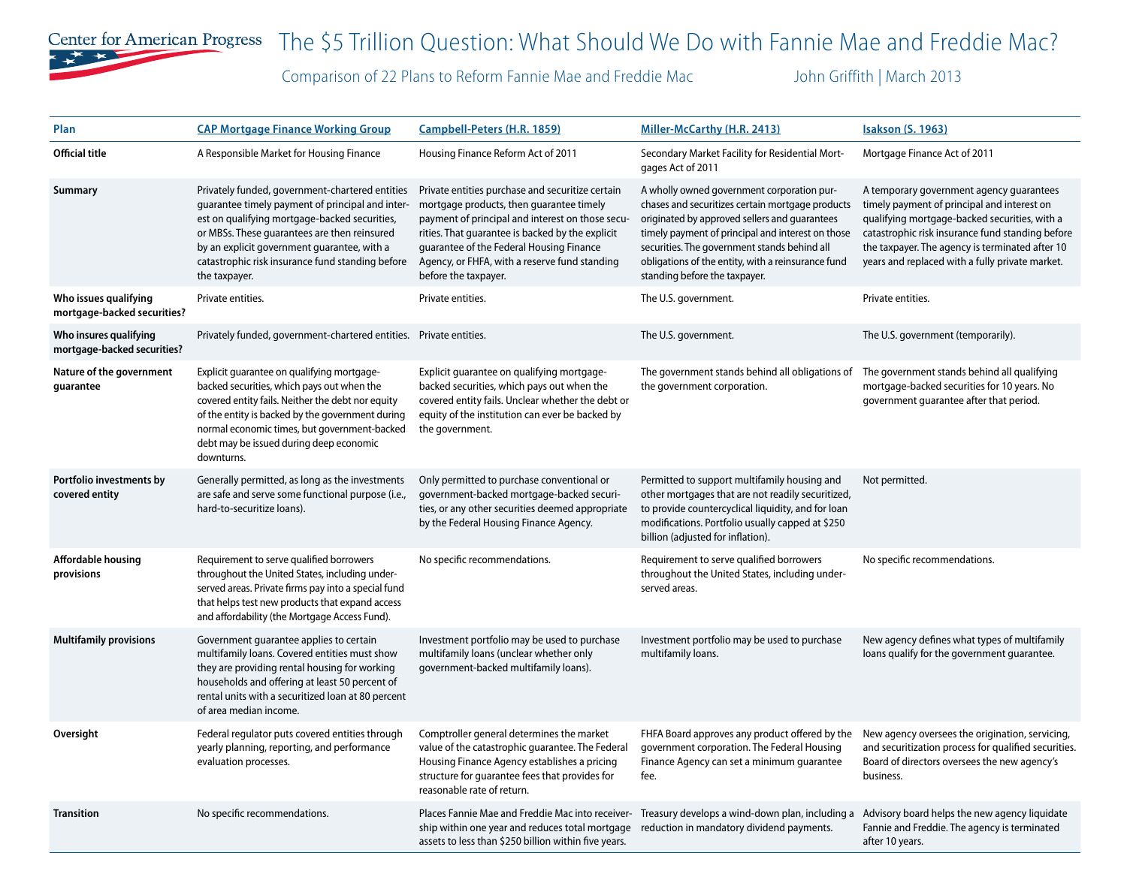

## Center for American Progress The \$5 Trillion Question: What Should We Do with Fannie Mae and Freddie Mac?

Comparison of 22 Plans to Reform Fannie Mae and Freddie Mac John Griffith | March 2013

| Plan                                                  | <b>CAP Mortgage Finance Working Group</b>                                                                                                                                                                                                                                                                                | Campbell-Peters (H.R. 1859)                                                                                                                                                                                                                                                                                               | Miller-McCarthy (H.R. 2413)                                                                                                                                                                                                                                                                                                                 | <b>Isakson (S. 1963)</b>                                                                                                                                                                                                                                                                           |
|-------------------------------------------------------|--------------------------------------------------------------------------------------------------------------------------------------------------------------------------------------------------------------------------------------------------------------------------------------------------------------------------|---------------------------------------------------------------------------------------------------------------------------------------------------------------------------------------------------------------------------------------------------------------------------------------------------------------------------|---------------------------------------------------------------------------------------------------------------------------------------------------------------------------------------------------------------------------------------------------------------------------------------------------------------------------------------------|----------------------------------------------------------------------------------------------------------------------------------------------------------------------------------------------------------------------------------------------------------------------------------------------------|
| <b>Official title</b>                                 | A Responsible Market for Housing Finance                                                                                                                                                                                                                                                                                 | Housing Finance Reform Act of 2011                                                                                                                                                                                                                                                                                        | Secondary Market Facility for Residential Mort-<br>gages Act of 2011                                                                                                                                                                                                                                                                        | Mortgage Finance Act of 2011                                                                                                                                                                                                                                                                       |
| Summary                                               | Privately funded, government-chartered entities<br>guarantee timely payment of principal and inter-<br>est on qualifying mortgage-backed securities,<br>or MBSs. These guarantees are then reinsured<br>by an explicit government quarantee, with a<br>catastrophic risk insurance fund standing before<br>the taxpayer. | Private entities purchase and securitize certain<br>mortgage products, then guarantee timely<br>payment of principal and interest on those secu-<br>rities. That guarantee is backed by the explicit<br>guarantee of the Federal Housing Finance<br>Agency, or FHFA, with a reserve fund standing<br>before the taxpayer. | A wholly owned government corporation pur-<br>chases and securitizes certain mortgage products<br>originated by approved sellers and guarantees<br>timely payment of principal and interest on those<br>securities. The government stands behind all<br>obligations of the entity, with a reinsurance fund<br>standing before the taxpayer. | A temporary government agency guarantees<br>timely payment of principal and interest on<br>qualifying mortgage-backed securities, with a<br>catastrophic risk insurance fund standing before<br>the taxpayer. The agency is terminated after 10<br>years and replaced with a fully private market. |
| Who issues qualifying<br>mortgage-backed securities?  | Private entities.                                                                                                                                                                                                                                                                                                        | Private entities.                                                                                                                                                                                                                                                                                                         | The U.S. government.                                                                                                                                                                                                                                                                                                                        | Private entities.                                                                                                                                                                                                                                                                                  |
| Who insures qualifying<br>mortgage-backed securities? | Privately funded, government-chartered entities. Private entities.                                                                                                                                                                                                                                                       |                                                                                                                                                                                                                                                                                                                           | The U.S. government.                                                                                                                                                                                                                                                                                                                        | The U.S. government (temporarily).                                                                                                                                                                                                                                                                 |
| Nature of the government<br>guarantee                 | Explicit guarantee on qualifying mortgage-<br>backed securities, which pays out when the<br>covered entity fails. Neither the debt nor equity<br>of the entity is backed by the government during<br>normal economic times, but government-backed<br>debt may be issued during deep economic<br>downturns.               | Explicit guarantee on qualifying mortgage-<br>backed securities, which pays out when the<br>covered entity fails. Unclear whether the debt or<br>equity of the institution can ever be backed by<br>the government.                                                                                                       | The government stands behind all obligations of<br>the government corporation.                                                                                                                                                                                                                                                              | The government stands behind all qualifying<br>mortgage-backed securities for 10 years. No<br>government guarantee after that period.                                                                                                                                                              |
| Portfolio investments by<br>covered entity            | Generally permitted, as long as the investments<br>are safe and serve some functional purpose (i.e.,<br>hard-to-securitize loans).                                                                                                                                                                                       | Only permitted to purchase conventional or<br>government-backed mortgage-backed securi-<br>ties, or any other securities deemed appropriate<br>by the Federal Housing Finance Agency.                                                                                                                                     | Permitted to support multifamily housing and<br>other mortgages that are not readily securitized,<br>to provide countercyclical liquidity, and for loan<br>modifications. Portfolio usually capped at \$250<br>billion (adjusted for inflation).                                                                                            | Not permitted.                                                                                                                                                                                                                                                                                     |
| Affordable housing<br>provisions                      | Requirement to serve qualified borrowers<br>throughout the United States, including under-<br>served areas. Private firms pay into a special fund<br>that helps test new products that expand access<br>and affordability (the Mortgage Access Fund).                                                                    | No specific recommendations.                                                                                                                                                                                                                                                                                              | Requirement to serve qualified borrowers<br>throughout the United States, including under-<br>served areas.                                                                                                                                                                                                                                 | No specific recommendations.                                                                                                                                                                                                                                                                       |
| <b>Multifamily provisions</b>                         | Government guarantee applies to certain<br>multifamily loans. Covered entities must show<br>they are providing rental housing for working<br>households and offering at least 50 percent of<br>rental units with a securitized loan at 80 percent<br>of area median income.                                              | Investment portfolio may be used to purchase<br>multifamily loans (unclear whether only<br>government-backed multifamily loans).                                                                                                                                                                                          | Investment portfolio may be used to purchase<br>multifamily loans.                                                                                                                                                                                                                                                                          | New agency defines what types of multifamily<br>loans qualify for the government guarantee.                                                                                                                                                                                                        |
| Oversight                                             | Federal regulator puts covered entities through<br>yearly planning, reporting, and performance<br>evaluation processes.                                                                                                                                                                                                  | Comptroller general determines the market<br>value of the catastrophic guarantee. The Federal<br>Housing Finance Agency establishes a pricing<br>structure for quarantee fees that provides for<br>reasonable rate of return.                                                                                             | FHFA Board approves any product offered by the<br>government corporation. The Federal Housing<br>Finance Agency can set a minimum guarantee<br>fee.                                                                                                                                                                                         | New agency oversees the origination, servicing,<br>and securitization process for qualified securities.<br>Board of directors oversees the new agency's<br>business.                                                                                                                               |
| <b>Transition</b>                                     | No specific recommendations.                                                                                                                                                                                                                                                                                             | Places Fannie Mae and Freddie Mac into receiver-<br>ship within one year and reduces total mortgage<br>assets to less than \$250 billion within five years.                                                                                                                                                               | Treasury develops a wind-down plan, including a<br>reduction in mandatory dividend payments.                                                                                                                                                                                                                                                | Advisory board helps the new agency liquidate<br>Fannie and Freddie. The agency is terminated<br>after 10 years.                                                                                                                                                                                   |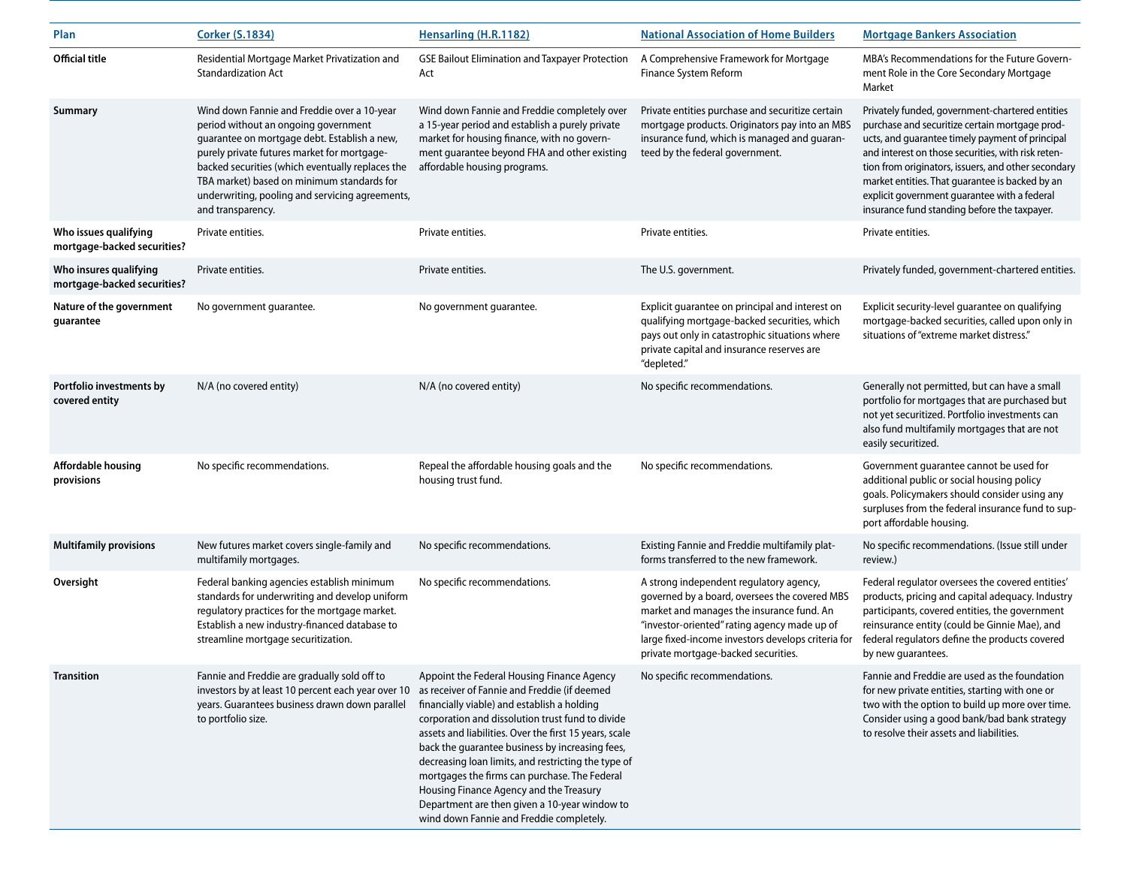| Plan                                                  | <b>Corker (S.1834)</b>                                                                                                                                                                                                                                                                                                                                       | Hensarling (H.R.1182)                                                                                                                                                                                                                                                                                                                                                                                                                                                                                                                                      | <b>National Association of Home Builders</b>                                                                                                                                                                                                                                       | <b>Mortgage Bankers Association</b>                                                                                                                                                                                                                                                                                                                                                                                  |
|-------------------------------------------------------|--------------------------------------------------------------------------------------------------------------------------------------------------------------------------------------------------------------------------------------------------------------------------------------------------------------------------------------------------------------|------------------------------------------------------------------------------------------------------------------------------------------------------------------------------------------------------------------------------------------------------------------------------------------------------------------------------------------------------------------------------------------------------------------------------------------------------------------------------------------------------------------------------------------------------------|------------------------------------------------------------------------------------------------------------------------------------------------------------------------------------------------------------------------------------------------------------------------------------|----------------------------------------------------------------------------------------------------------------------------------------------------------------------------------------------------------------------------------------------------------------------------------------------------------------------------------------------------------------------------------------------------------------------|
| <b>Official title</b>                                 | Residential Mortgage Market Privatization and<br><b>Standardization Act</b>                                                                                                                                                                                                                                                                                  | <b>GSE Bailout Elimination and Taxpayer Protection</b><br>Act                                                                                                                                                                                                                                                                                                                                                                                                                                                                                              | A Comprehensive Framework for Mortgage<br>Finance System Reform                                                                                                                                                                                                                    | MBA's Recommendations for the Future Govern-<br>ment Role in the Core Secondary Mortgage<br>Market                                                                                                                                                                                                                                                                                                                   |
| Summary                                               | Wind down Fannie and Freddie over a 10-year<br>period without an ongoing government<br>guarantee on mortgage debt. Establish a new,<br>purely private futures market for mortgage-<br>backed securities (which eventually replaces the<br>TBA market) based on minimum standards for<br>underwriting, pooling and servicing agreements,<br>and transparency. | Wind down Fannie and Freddie completely over<br>a 15-year period and establish a purely private<br>market for housing finance, with no govern-<br>ment guarantee beyond FHA and other existing<br>affordable housing programs.                                                                                                                                                                                                                                                                                                                             | Private entities purchase and securitize certain<br>mortgage products. Originators pay into an MBS<br>insurance fund, which is managed and guaran-<br>teed by the federal government.                                                                                              | Privately funded, government-chartered entities<br>purchase and securitize certain mortgage prod-<br>ucts, and guarantee timely payment of principal<br>and interest on those securities, with risk reten-<br>tion from originators, issuers, and other secondary<br>market entities. That guarantee is backed by an<br>explicit government guarantee with a federal<br>insurance fund standing before the taxpayer. |
| Who issues qualifying<br>mortgage-backed securities?  | Private entities.                                                                                                                                                                                                                                                                                                                                            | Private entities.                                                                                                                                                                                                                                                                                                                                                                                                                                                                                                                                          | Private entities.                                                                                                                                                                                                                                                                  | Private entities.                                                                                                                                                                                                                                                                                                                                                                                                    |
| Who insures qualifying<br>mortgage-backed securities? | Private entities.                                                                                                                                                                                                                                                                                                                                            | Private entities.                                                                                                                                                                                                                                                                                                                                                                                                                                                                                                                                          | The U.S. government.                                                                                                                                                                                                                                                               | Privately funded, government-chartered entities.                                                                                                                                                                                                                                                                                                                                                                     |
| Nature of the government<br>guarantee                 | No government guarantee.                                                                                                                                                                                                                                                                                                                                     | No government guarantee.                                                                                                                                                                                                                                                                                                                                                                                                                                                                                                                                   | Explicit guarantee on principal and interest on<br>qualifying mortgage-backed securities, which<br>pays out only in catastrophic situations where<br>private capital and insurance reserves are<br>"depleted."                                                                     | Explicit security-level guarantee on qualifying<br>mortgage-backed securities, called upon only in<br>situations of "extreme market distress."                                                                                                                                                                                                                                                                       |
| Portfolio investments by<br>covered entity            | N/A (no covered entity)                                                                                                                                                                                                                                                                                                                                      | N/A (no covered entity)                                                                                                                                                                                                                                                                                                                                                                                                                                                                                                                                    | No specific recommendations.                                                                                                                                                                                                                                                       | Generally not permitted, but can have a small<br>portfolio for mortgages that are purchased but<br>not yet securitized. Portfolio investments can<br>also fund multifamily mortgages that are not<br>easily securitized.                                                                                                                                                                                             |
| <b>Affordable housing</b><br>provisions               | No specific recommendations.                                                                                                                                                                                                                                                                                                                                 | Repeal the affordable housing goals and the<br>housing trust fund.                                                                                                                                                                                                                                                                                                                                                                                                                                                                                         | No specific recommendations.                                                                                                                                                                                                                                                       | Government guarantee cannot be used for<br>additional public or social housing policy<br>goals. Policymakers should consider using any<br>surpluses from the federal insurance fund to sup-<br>port affordable housing.                                                                                                                                                                                              |
| <b>Multifamily provisions</b>                         | New futures market covers single-family and<br>multifamily mortgages.                                                                                                                                                                                                                                                                                        | No specific recommendations.                                                                                                                                                                                                                                                                                                                                                                                                                                                                                                                               | Existing Fannie and Freddie multifamily plat-<br>forms transferred to the new framework.                                                                                                                                                                                           | No specific recommendations. (Issue still under<br>review.)                                                                                                                                                                                                                                                                                                                                                          |
| Oversight                                             | Federal banking agencies establish minimum<br>standards for underwriting and develop uniform<br>regulatory practices for the mortgage market.<br>Establish a new industry-financed database to<br>streamline mortgage securitization.                                                                                                                        | No specific recommendations.                                                                                                                                                                                                                                                                                                                                                                                                                                                                                                                               | A strong independent regulatory agency,<br>governed by a board, oversees the covered MBS<br>market and manages the insurance fund. An<br>"investor-oriented" rating agency made up of<br>large fixed-income investors develops criteria for<br>private mortgage-backed securities. | Federal regulator oversees the covered entities'<br>products, pricing and capital adequacy. Industry<br>participants, covered entities, the government<br>reinsurance entity (could be Ginnie Mae), and<br>federal regulators define the products covered<br>by new guarantees.                                                                                                                                      |
| <b>Transition</b>                                     | Fannie and Freddie are gradually sold off to<br>investors by at least 10 percent each year over 10<br>years. Guarantees business drawn down parallel<br>to portfolio size.                                                                                                                                                                                   | Appoint the Federal Housing Finance Agency<br>as receiver of Fannie and Freddie (if deemed<br>financially viable) and establish a holding<br>corporation and dissolution trust fund to divide<br>assets and liabilities. Over the first 15 years, scale<br>back the guarantee business by increasing fees,<br>decreasing loan limits, and restricting the type of<br>mortgages the firms can purchase. The Federal<br>Housing Finance Agency and the Treasury<br>Department are then given a 10-year window to<br>wind down Fannie and Freddie completely. | No specific recommendations.                                                                                                                                                                                                                                                       | Fannie and Freddie are used as the foundation<br>for new private entities, starting with one or<br>two with the option to build up more over time.<br>Consider using a good bank/bad bank strategy<br>to resolve their assets and liabilities.                                                                                                                                                                       |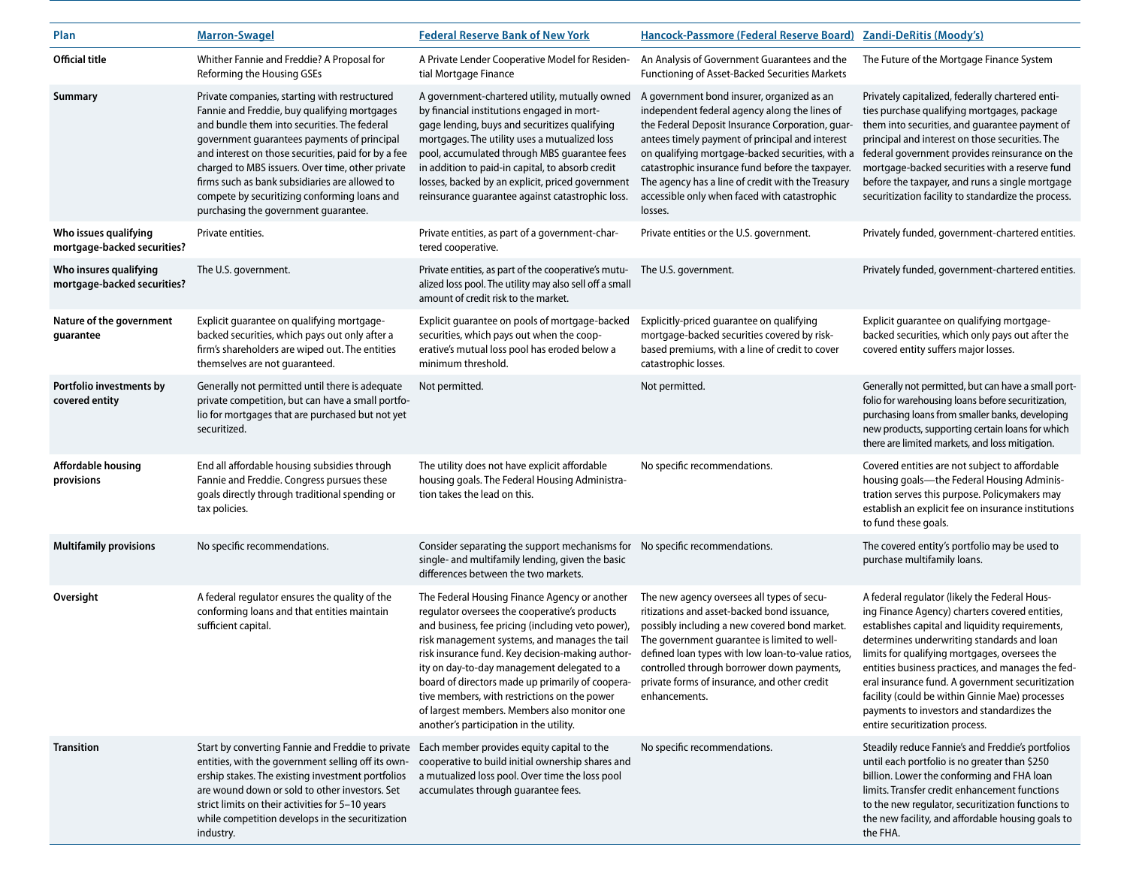| Plan                                                  | <b>Marron-Swagel</b>                                                                                                                                                                                                                                                                                                                                                                                                                              | <b>Federal Reserve Bank of New York</b>                                                                                                                                                                                                                                                                                                                                                                                                                                                                | Hancock-Passmore (Federal Reserve Board) Zandi-DeRitis (Moody's)                                                                                                                                                                                                                                                                                                                                                          |                                                                                                                                                                                                                                                                                                                                                                                                                                                                                               |
|-------------------------------------------------------|---------------------------------------------------------------------------------------------------------------------------------------------------------------------------------------------------------------------------------------------------------------------------------------------------------------------------------------------------------------------------------------------------------------------------------------------------|--------------------------------------------------------------------------------------------------------------------------------------------------------------------------------------------------------------------------------------------------------------------------------------------------------------------------------------------------------------------------------------------------------------------------------------------------------------------------------------------------------|---------------------------------------------------------------------------------------------------------------------------------------------------------------------------------------------------------------------------------------------------------------------------------------------------------------------------------------------------------------------------------------------------------------------------|-----------------------------------------------------------------------------------------------------------------------------------------------------------------------------------------------------------------------------------------------------------------------------------------------------------------------------------------------------------------------------------------------------------------------------------------------------------------------------------------------|
| <b>Official title</b>                                 | Whither Fannie and Freddie? A Proposal for<br>Reforming the Housing GSEs                                                                                                                                                                                                                                                                                                                                                                          | A Private Lender Cooperative Model for Residen-<br>tial Mortgage Finance                                                                                                                                                                                                                                                                                                                                                                                                                               | An Analysis of Government Guarantees and the<br>Functioning of Asset-Backed Securities Markets                                                                                                                                                                                                                                                                                                                            | The Future of the Mortgage Finance System                                                                                                                                                                                                                                                                                                                                                                                                                                                     |
| Summary                                               | Private companies, starting with restructured<br>Fannie and Freddie, buy qualifying mortgages<br>and bundle them into securities. The federal<br>government guarantees payments of principal<br>and interest on those securities, paid for by a fee<br>charged to MBS issuers. Over time, other private<br>firms such as bank subsidiaries are allowed to<br>compete by securitizing conforming loans and<br>purchasing the government guarantee. | A government-chartered utility, mutually owned<br>by financial institutions engaged in mort-<br>gage lending, buys and securitizes qualifying<br>mortgages. The utility uses a mutualized loss<br>pool, accumulated through MBS guarantee fees<br>in addition to paid-in capital, to absorb credit<br>losses, backed by an explicit, priced government<br>reinsurance guarantee against catastrophic loss.                                                                                             | A government bond insurer, organized as an<br>independent federal agency along the lines of<br>the Federal Deposit Insurance Corporation, guar<br>antees timely payment of principal and interest<br>on qualifying mortgage-backed securities, with a<br>catastrophic insurance fund before the taxpayer.<br>The agency has a line of credit with the Treasury<br>accessible only when faced with catastrophic<br>losses. | Privately capitalized, federally chartered enti-<br>ties purchase qualifying mortgages, package<br>them into securities, and guarantee payment of<br>principal and interest on those securities. The<br>federal government provides reinsurance on the<br>mortgage-backed securities with a reserve fund<br>before the taxpayer, and runs a single mortgage<br>securitization facility to standardize the process.                                                                            |
| Who issues qualifying<br>mortgage-backed securities?  | Private entities.                                                                                                                                                                                                                                                                                                                                                                                                                                 | Private entities, as part of a government-char-<br>tered cooperative.                                                                                                                                                                                                                                                                                                                                                                                                                                  | Private entities or the U.S. government.                                                                                                                                                                                                                                                                                                                                                                                  | Privately funded, government-chartered entities.                                                                                                                                                                                                                                                                                                                                                                                                                                              |
| Who insures qualifying<br>mortgage-backed securities? | The U.S. government.                                                                                                                                                                                                                                                                                                                                                                                                                              | Private entities, as part of the cooperative's mutu-<br>alized loss pool. The utility may also sell off a small<br>amount of credit risk to the market.                                                                                                                                                                                                                                                                                                                                                | The U.S. government.                                                                                                                                                                                                                                                                                                                                                                                                      | Privately funded, government-chartered entities.                                                                                                                                                                                                                                                                                                                                                                                                                                              |
| Nature of the government<br>guarantee                 | Explicit guarantee on qualifying mortgage-<br>backed securities, which pays out only after a<br>firm's shareholders are wiped out. The entities<br>themselves are not quaranteed.                                                                                                                                                                                                                                                                 | Explicit guarantee on pools of mortgage-backed<br>securities, which pays out when the coop-<br>erative's mutual loss pool has eroded below a<br>minimum threshold.                                                                                                                                                                                                                                                                                                                                     | Explicitly-priced guarantee on qualifying<br>mortgage-backed securities covered by risk-<br>based premiums, with a line of credit to cover<br>catastrophic losses.                                                                                                                                                                                                                                                        | Explicit guarantee on qualifying mortgage-<br>backed securities, which only pays out after the<br>covered entity suffers major losses.                                                                                                                                                                                                                                                                                                                                                        |
| Portfolio investments by<br>covered entity            | Generally not permitted until there is adequate<br>private competition, but can have a small portfo-<br>lio for mortgages that are purchased but not yet<br>securitized.                                                                                                                                                                                                                                                                          | Not permitted.                                                                                                                                                                                                                                                                                                                                                                                                                                                                                         | Not permitted.                                                                                                                                                                                                                                                                                                                                                                                                            | Generally not permitted, but can have a small port-<br>folio for warehousing loans before securitization,<br>purchasing loans from smaller banks, developing<br>new products, supporting certain loans for which<br>there are limited markets, and loss mitigation.                                                                                                                                                                                                                           |
| <b>Affordable housing</b><br>provisions               | End all affordable housing subsidies through<br>Fannie and Freddie. Congress pursues these<br>goals directly through traditional spending or<br>tax policies.                                                                                                                                                                                                                                                                                     | The utility does not have explicit affordable<br>housing goals. The Federal Housing Administra-<br>tion takes the lead on this.                                                                                                                                                                                                                                                                                                                                                                        | No specific recommendations.                                                                                                                                                                                                                                                                                                                                                                                              | Covered entities are not subject to affordable<br>housing goals-the Federal Housing Adminis-<br>tration serves this purpose. Policymakers may<br>establish an explicit fee on insurance institutions<br>to fund these goals.                                                                                                                                                                                                                                                                  |
| <b>Multifamily provisions</b>                         | No specific recommendations.                                                                                                                                                                                                                                                                                                                                                                                                                      | Consider separating the support mechanisms for<br>single- and multifamily lending, given the basic<br>differences between the two markets.                                                                                                                                                                                                                                                                                                                                                             | No specific recommendations.                                                                                                                                                                                                                                                                                                                                                                                              | The covered entity's portfolio may be used to<br>purchase multifamily loans.                                                                                                                                                                                                                                                                                                                                                                                                                  |
| Oversight                                             | A federal regulator ensures the quality of the<br>conforming loans and that entities maintain<br>sufficient capital.                                                                                                                                                                                                                                                                                                                              | The Federal Housing Finance Agency or another<br>regulator oversees the cooperative's products<br>and business, fee pricing (including veto power),<br>risk management systems, and manages the tail<br>risk insurance fund. Key decision-making author-<br>ity on day-to-day management delegated to a<br>board of directors made up primarily of coopera-<br>tive members, with restrictions on the power<br>of largest members. Members also monitor one<br>another's participation in the utility. | The new agency oversees all types of secu-<br>ritizations and asset-backed bond issuance,<br>possibly including a new covered bond market.<br>The government guarantee is limited to well-<br>defined loan types with low loan-to-value ratios,<br>controlled through borrower down payments,<br>private forms of insurance, and other credit<br>enhancements.                                                            | A federal regulator (likely the Federal Hous-<br>ing Finance Agency) charters covered entities,<br>establishes capital and liquidity requirements,<br>determines underwriting standards and loan<br>limits for qualifying mortgages, oversees the<br>entities business practices, and manages the fed-<br>eral insurance fund. A government securitization<br>facility (could be within Ginnie Mae) processes<br>payments to investors and standardizes the<br>entire securitization process. |
| <b>Transition</b>                                     | Start by converting Fannie and Freddie to private<br>entities, with the government selling off its own-<br>ership stakes. The existing investment portfolios<br>are wound down or sold to other investors. Set<br>strict limits on their activities for 5-10 years<br>while competition develops in the securitization<br>industry.                                                                                                               | Each member provides equity capital to the<br>cooperative to build initial ownership shares and<br>a mutualized loss pool. Over time the loss pool<br>accumulates through guarantee fees.                                                                                                                                                                                                                                                                                                              | No specific recommendations.                                                                                                                                                                                                                                                                                                                                                                                              | Steadily reduce Fannie's and Freddie's portfolios<br>until each portfolio is no greater than \$250<br>billion. Lower the conforming and FHA loan<br>limits. Transfer credit enhancement functions<br>to the new regulator, securitization functions to<br>the new facility, and affordable housing goals to<br>the FHA.                                                                                                                                                                       |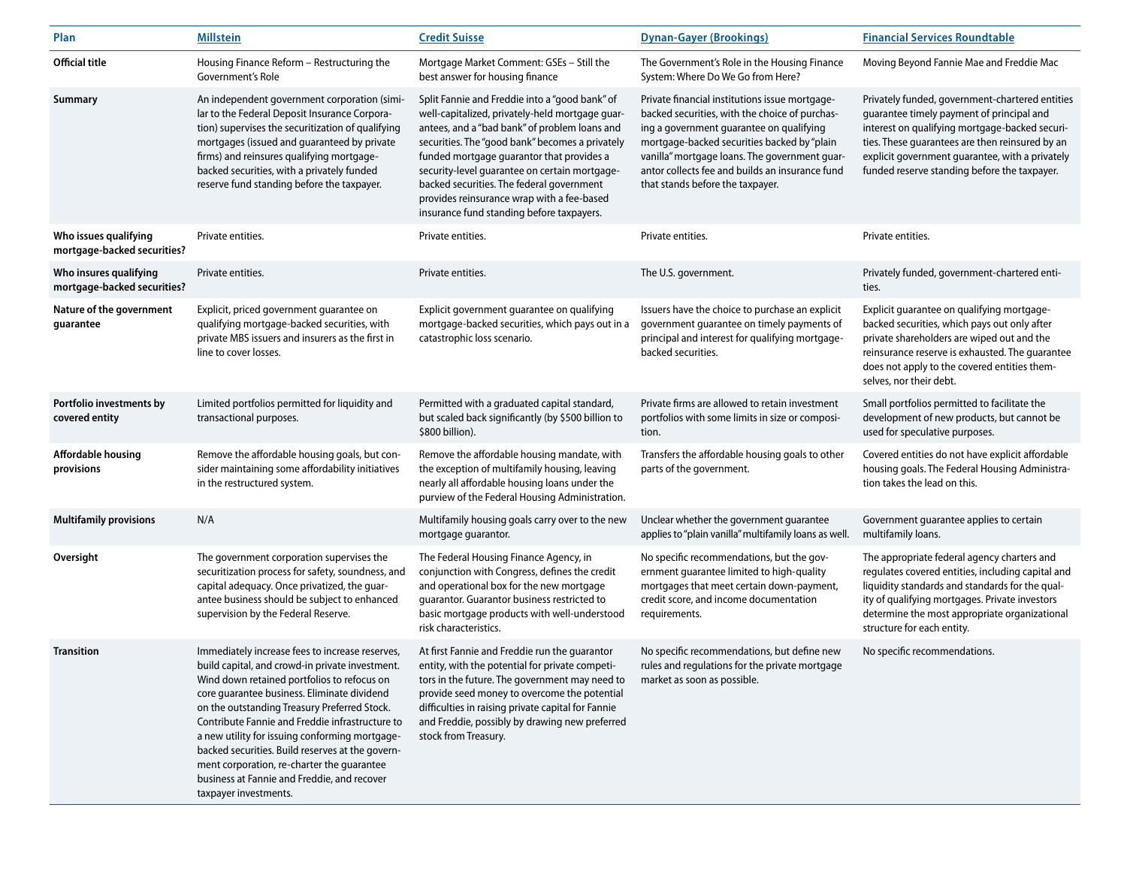| Plan                                                  | <b>Millstein</b>                                                                                                                                                                                                                                                                                                                                                                                                                                                                                                                | <b>Credit Suisse</b>                                                                                                                                                                                                                                                                                                                                                                                                                        | <b>Dynan-Gayer (Brookings)</b>                                                                                                                                                                                                                                                                                                      | <b>Financial Services Roundtable</b>                                                                                                                                                                                                                                                                 |
|-------------------------------------------------------|---------------------------------------------------------------------------------------------------------------------------------------------------------------------------------------------------------------------------------------------------------------------------------------------------------------------------------------------------------------------------------------------------------------------------------------------------------------------------------------------------------------------------------|---------------------------------------------------------------------------------------------------------------------------------------------------------------------------------------------------------------------------------------------------------------------------------------------------------------------------------------------------------------------------------------------------------------------------------------------|-------------------------------------------------------------------------------------------------------------------------------------------------------------------------------------------------------------------------------------------------------------------------------------------------------------------------------------|------------------------------------------------------------------------------------------------------------------------------------------------------------------------------------------------------------------------------------------------------------------------------------------------------|
| <b>Official title</b>                                 | Housing Finance Reform - Restructuring the<br>Government's Role                                                                                                                                                                                                                                                                                                                                                                                                                                                                 | Mortgage Market Comment: GSEs - Still the<br>best answer for housing finance                                                                                                                                                                                                                                                                                                                                                                | The Government's Role in the Housing Finance<br>System: Where Do We Go from Here?                                                                                                                                                                                                                                                   | Moving Beyond Fannie Mae and Freddie Mac                                                                                                                                                                                                                                                             |
| <b>Summary</b>                                        | An independent government corporation (simi-<br>lar to the Federal Deposit Insurance Corpora-<br>tion) supervises the securitization of qualifying<br>mortgages (issued and guaranteed by private<br>firms) and reinsures qualifying mortgage-<br>backed securities, with a privately funded<br>reserve fund standing before the taxpayer.                                                                                                                                                                                      | Split Fannie and Freddie into a "good bank" of<br>well-capitalized, privately-held mortgage guar-<br>antees, and a "bad bank" of problem loans and<br>securities. The "good bank" becomes a privately<br>funded mortgage guarantor that provides a<br>security-level guarantee on certain mortgage-<br>backed securities. The federal government<br>provides reinsurance wrap with a fee-based<br>insurance fund standing before taxpayers. | Private financial institutions issue mortgage-<br>backed securities, with the choice of purchas-<br>ing a government guarantee on qualifying<br>mortgage-backed securities backed by "plain<br>vanilla" mortgage loans. The government guar-<br>antor collects fee and builds an insurance fund<br>that stands before the taxpayer. | Privately funded, government-chartered entities<br>guarantee timely payment of principal and<br>interest on qualifying mortgage-backed securi-<br>ties. These guarantees are then reinsured by an<br>explicit government guarantee, with a privately<br>funded reserve standing before the taxpayer. |
| Who issues qualifying<br>mortgage-backed securities?  | Private entities.                                                                                                                                                                                                                                                                                                                                                                                                                                                                                                               | Private entities.                                                                                                                                                                                                                                                                                                                                                                                                                           | Private entities.                                                                                                                                                                                                                                                                                                                   | Private entities.                                                                                                                                                                                                                                                                                    |
| Who insures qualifying<br>mortgage-backed securities? | Private entities.                                                                                                                                                                                                                                                                                                                                                                                                                                                                                                               | Private entities.                                                                                                                                                                                                                                                                                                                                                                                                                           | The U.S. government.                                                                                                                                                                                                                                                                                                                | Privately funded, government-chartered enti-<br>ties.                                                                                                                                                                                                                                                |
| Nature of the government<br>guarantee                 | Explicit, priced government guarantee on<br>qualifying mortgage-backed securities, with<br>private MBS issuers and insurers as the first in<br>line to cover losses.                                                                                                                                                                                                                                                                                                                                                            | Explicit government guarantee on qualifying<br>mortgage-backed securities, which pays out in a<br>catastrophic loss scenario.                                                                                                                                                                                                                                                                                                               | Issuers have the choice to purchase an explicit<br>government guarantee on timely payments of<br>principal and interest for qualifying mortgage-<br>backed securities.                                                                                                                                                              | Explicit guarantee on qualifying mortgage-<br>backed securities, which pays out only after<br>private shareholders are wiped out and the<br>reinsurance reserve is exhausted. The guarantee<br>does not apply to the covered entities them-<br>selves, nor their debt.                               |
| Portfolio investments by<br>covered entity            | Limited portfolios permitted for liquidity and<br>transactional purposes.                                                                                                                                                                                                                                                                                                                                                                                                                                                       | Permitted with a graduated capital standard,<br>but scaled back significantly (by \$500 billion to<br>\$800 billion).                                                                                                                                                                                                                                                                                                                       | Private firms are allowed to retain investment<br>portfolios with some limits in size or composi-<br>tion.                                                                                                                                                                                                                          | Small portfolios permitted to facilitate the<br>development of new products, but cannot be<br>used for speculative purposes.                                                                                                                                                                         |
| <b>Affordable housing</b><br>provisions               | Remove the affordable housing goals, but con-<br>sider maintaining some affordability initiatives<br>in the restructured system.                                                                                                                                                                                                                                                                                                                                                                                                | Remove the affordable housing mandate, with<br>the exception of multifamily housing, leaving<br>nearly all affordable housing loans under the<br>purview of the Federal Housing Administration.                                                                                                                                                                                                                                             | Transfers the affordable housing goals to other<br>parts of the government.                                                                                                                                                                                                                                                         | Covered entities do not have explicit affordable<br>housing goals. The Federal Housing Administra-<br>tion takes the lead on this.                                                                                                                                                                   |
| <b>Multifamily provisions</b>                         | N/A                                                                                                                                                                                                                                                                                                                                                                                                                                                                                                                             | Multifamily housing goals carry over to the new<br>mortgage guarantor.                                                                                                                                                                                                                                                                                                                                                                      | Unclear whether the government guarantee<br>applies to "plain vanilla" multifamily loans as well.                                                                                                                                                                                                                                   | Government guarantee applies to certain<br>multifamily loans.                                                                                                                                                                                                                                        |
| Oversight                                             | The government corporation supervises the<br>securitization process for safety, soundness, and<br>capital adequacy. Once privatized, the quar-<br>antee business should be subject to enhanced<br>supervision by the Federal Reserve.                                                                                                                                                                                                                                                                                           | The Federal Housing Finance Agency, in<br>conjunction with Congress, defines the credit<br>and operational box for the new mortgage<br>guarantor. Guarantor business restricted to<br>basic mortgage products with well-understood<br>risk characteristics.                                                                                                                                                                                 | No specific recommendations, but the gov-<br>ernment guarantee limited to high-quality<br>mortgages that meet certain down-payment,<br>credit score, and income documentation<br>requirements.                                                                                                                                      | The appropriate federal agency charters and<br>regulates covered entities, including capital and<br>liquidity standards and standards for the qual-<br>ity of qualifying mortgages. Private investors<br>determine the most appropriate organizational<br>structure for each entity.                 |
| <b>Transition</b>                                     | Immediately increase fees to increase reserves,<br>build capital, and crowd-in private investment.<br>Wind down retained portfolios to refocus on<br>core guarantee business. Eliminate dividend<br>on the outstanding Treasury Preferred Stock.<br>Contribute Fannie and Freddie infrastructure to<br>a new utility for issuing conforming mortgage-<br>backed securities. Build reserves at the govern-<br>ment corporation, re-charter the guarantee<br>business at Fannie and Freddie, and recover<br>taxpayer investments. | At first Fannie and Freddie run the quarantor<br>entity, with the potential for private competi-<br>tors in the future. The government may need to<br>provide seed money to overcome the potential<br>difficulties in raising private capital for Fannie<br>and Freddie, possibly by drawing new preferred<br>stock from Treasury.                                                                                                          | No specific recommendations, but define new<br>rules and regulations for the private mortgage<br>market as soon as possible.                                                                                                                                                                                                        | No specific recommendations.                                                                                                                                                                                                                                                                         |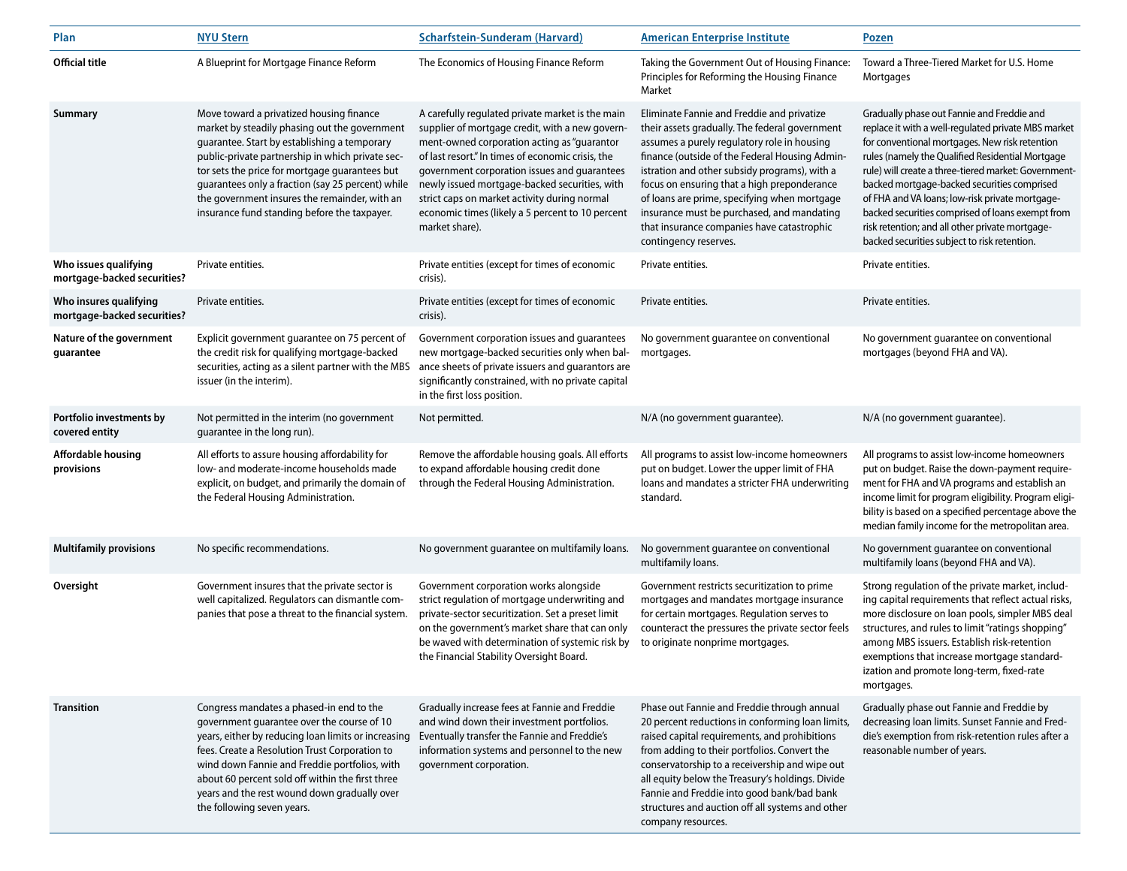| Plan                                                  | <b>NYU Stern</b>                                                                                                                                                                                                                                                                                                                                                                                      | <b>Scharfstein-Sunderam (Harvard)</b>                                                                                                                                                                                                                                                                                                                                                                                          | <b>American Enterprise Institute</b>                                                                                                                                                                                                                                                                                                                                                                                                                               | <u>Pozen</u>                                                                                                                                                                                                                                                                                                                                                                                                                                                                                                             |
|-------------------------------------------------------|-------------------------------------------------------------------------------------------------------------------------------------------------------------------------------------------------------------------------------------------------------------------------------------------------------------------------------------------------------------------------------------------------------|--------------------------------------------------------------------------------------------------------------------------------------------------------------------------------------------------------------------------------------------------------------------------------------------------------------------------------------------------------------------------------------------------------------------------------|--------------------------------------------------------------------------------------------------------------------------------------------------------------------------------------------------------------------------------------------------------------------------------------------------------------------------------------------------------------------------------------------------------------------------------------------------------------------|--------------------------------------------------------------------------------------------------------------------------------------------------------------------------------------------------------------------------------------------------------------------------------------------------------------------------------------------------------------------------------------------------------------------------------------------------------------------------------------------------------------------------|
| <b>Official title</b>                                 | A Blueprint for Mortgage Finance Reform                                                                                                                                                                                                                                                                                                                                                               | The Economics of Housing Finance Reform                                                                                                                                                                                                                                                                                                                                                                                        | Taking the Government Out of Housing Finance:<br>Principles for Reforming the Housing Finance<br>Market                                                                                                                                                                                                                                                                                                                                                            | Toward a Three-Tiered Market for U.S. Home<br>Mortgages                                                                                                                                                                                                                                                                                                                                                                                                                                                                  |
| Summary                                               | Move toward a privatized housing finance<br>market by steadily phasing out the government<br>guarantee. Start by establishing a temporary<br>public-private partnership in which private sec-<br>tor sets the price for mortgage guarantees but<br>quarantees only a fraction (say 25 percent) while<br>the government insures the remainder, with an<br>insurance fund standing before the taxpayer. | A carefully regulated private market is the main<br>supplier of mortgage credit, with a new govern-<br>ment-owned corporation acting as "guarantor<br>of last resort." In times of economic crisis, the<br>government corporation issues and guarantees<br>newly issued mortgage-backed securities, with<br>strict caps on market activity during normal<br>economic times (likely a 5 percent to 10 percent<br>market share). | Eliminate Fannie and Freddie and privatize<br>their assets gradually. The federal government<br>assumes a purely regulatory role in housing<br>finance (outside of the Federal Housing Admin-<br>istration and other subsidy programs), with a<br>focus on ensuring that a high preponderance<br>of loans are prime, specifying when mortgage<br>insurance must be purchased, and mandating<br>that insurance companies have catastrophic<br>contingency reserves. | Gradually phase out Fannie and Freddie and<br>replace it with a well-regulated private MBS market<br>for conventional mortgages. New risk retention<br>rules (namely the Qualified Residential Mortgage<br>rule) will create a three-tiered market: Government-<br>backed mortgage-backed securities comprised<br>of FHA and VA loans; low-risk private mortgage-<br>backed securities comprised of loans exempt from<br>risk retention; and all other private mortgage-<br>backed securities subject to risk retention. |
| Who issues qualifying<br>mortgage-backed securities?  | Private entities.                                                                                                                                                                                                                                                                                                                                                                                     | Private entities (except for times of economic<br>crisis).                                                                                                                                                                                                                                                                                                                                                                     | Private entities.                                                                                                                                                                                                                                                                                                                                                                                                                                                  | Private entities.                                                                                                                                                                                                                                                                                                                                                                                                                                                                                                        |
| Who insures qualifying<br>mortgage-backed securities? | Private entities.                                                                                                                                                                                                                                                                                                                                                                                     | Private entities (except for times of economic<br>crisis).                                                                                                                                                                                                                                                                                                                                                                     | Private entities.                                                                                                                                                                                                                                                                                                                                                                                                                                                  | Private entities.                                                                                                                                                                                                                                                                                                                                                                                                                                                                                                        |
| Nature of the government<br>guarantee                 | Explicit government guarantee on 75 percent of<br>the credit risk for qualifying mortgage-backed<br>securities, acting as a silent partner with the MBS<br>issuer (in the interim).                                                                                                                                                                                                                   | Government corporation issues and guarantees<br>new mortgage-backed securities only when bal-<br>ance sheets of private issuers and guarantors are<br>significantly constrained, with no private capital<br>in the first loss position.                                                                                                                                                                                        | No government guarantee on conventional<br>mortgages.                                                                                                                                                                                                                                                                                                                                                                                                              | No government guarantee on conventional<br>mortgages (beyond FHA and VA).                                                                                                                                                                                                                                                                                                                                                                                                                                                |
| Portfolio investments by<br>covered entity            | Not permitted in the interim (no government<br>guarantee in the long run).                                                                                                                                                                                                                                                                                                                            | Not permitted.                                                                                                                                                                                                                                                                                                                                                                                                                 | N/A (no government guarantee).                                                                                                                                                                                                                                                                                                                                                                                                                                     | N/A (no government guarantee).                                                                                                                                                                                                                                                                                                                                                                                                                                                                                           |
| Affordable housing<br>provisions                      | All efforts to assure housing affordability for<br>low- and moderate-income households made<br>explicit, on budget, and primarily the domain of<br>the Federal Housing Administration.                                                                                                                                                                                                                | Remove the affordable housing goals. All efforts<br>to expand affordable housing credit done<br>through the Federal Housing Administration.                                                                                                                                                                                                                                                                                    | All programs to assist low-income homeowners<br>put on budget. Lower the upper limit of FHA<br>loans and mandates a stricter FHA underwriting<br>standard.                                                                                                                                                                                                                                                                                                         | All programs to assist low-income homeowners<br>put on budget. Raise the down-payment require-<br>ment for FHA and VA programs and establish an<br>income limit for program eligibility. Program eligi-<br>bility is based on a specified percentage above the<br>median family income for the metropolitan area.                                                                                                                                                                                                        |
| <b>Multifamily provisions</b>                         | No specific recommendations.                                                                                                                                                                                                                                                                                                                                                                          | No government guarantee on multifamily loans.                                                                                                                                                                                                                                                                                                                                                                                  | No government guarantee on conventional<br>multifamily loans.                                                                                                                                                                                                                                                                                                                                                                                                      | No government guarantee on conventional<br>multifamily loans (beyond FHA and VA).                                                                                                                                                                                                                                                                                                                                                                                                                                        |
| Oversight                                             | Government insures that the private sector is<br>well capitalized. Regulators can dismantle com-<br>panies that pose a threat to the financial system.                                                                                                                                                                                                                                                | Government corporation works alongside<br>strict regulation of mortgage underwriting and<br>private-sector securitization. Set a preset limit<br>on the government's market share that can only<br>be waved with determination of systemic risk by<br>the Financial Stability Oversight Board.                                                                                                                                 | Government restricts securitization to prime<br>mortgages and mandates mortgage insurance<br>for certain mortgages. Regulation serves to<br>counteract the pressures the private sector feels<br>to originate nonprime mortgages.                                                                                                                                                                                                                                  | Strong regulation of the private market, includ-<br>ing capital requirements that reflect actual risks,<br>more disclosure on loan pools, simpler MBS deal<br>structures, and rules to limit "ratings shopping"<br>among MBS issuers. Establish risk-retention<br>exemptions that increase mortgage standard-<br>ization and promote long-term, fixed-rate<br>mortgages.                                                                                                                                                 |
| <b>Transition</b>                                     | Congress mandates a phased-in end to the<br>government guarantee over the course of 10<br>years, either by reducing loan limits or increasing<br>fees. Create a Resolution Trust Corporation to<br>wind down Fannie and Freddie portfolios, with<br>about 60 percent sold off within the first three<br>years and the rest wound down gradually over<br>the following seven years.                    | Gradually increase fees at Fannie and Freddie<br>and wind down their investment portfolios.<br>Eventually transfer the Fannie and Freddie's<br>information systems and personnel to the new<br>government corporation.                                                                                                                                                                                                         | Phase out Fannie and Freddie through annual<br>20 percent reductions in conforming loan limits,<br>raised capital requirements, and prohibitions<br>from adding to their portfolios. Convert the<br>conservatorship to a receivership and wipe out<br>all equity below the Treasury's holdings. Divide<br>Fannie and Freddie into good bank/bad bank<br>structures and auction off all systems and other<br>company resources.                                     | Gradually phase out Fannie and Freddie by<br>decreasing loan limits. Sunset Fannie and Fred-<br>die's exemption from risk-retention rules after a<br>reasonable number of years.                                                                                                                                                                                                                                                                                                                                         |